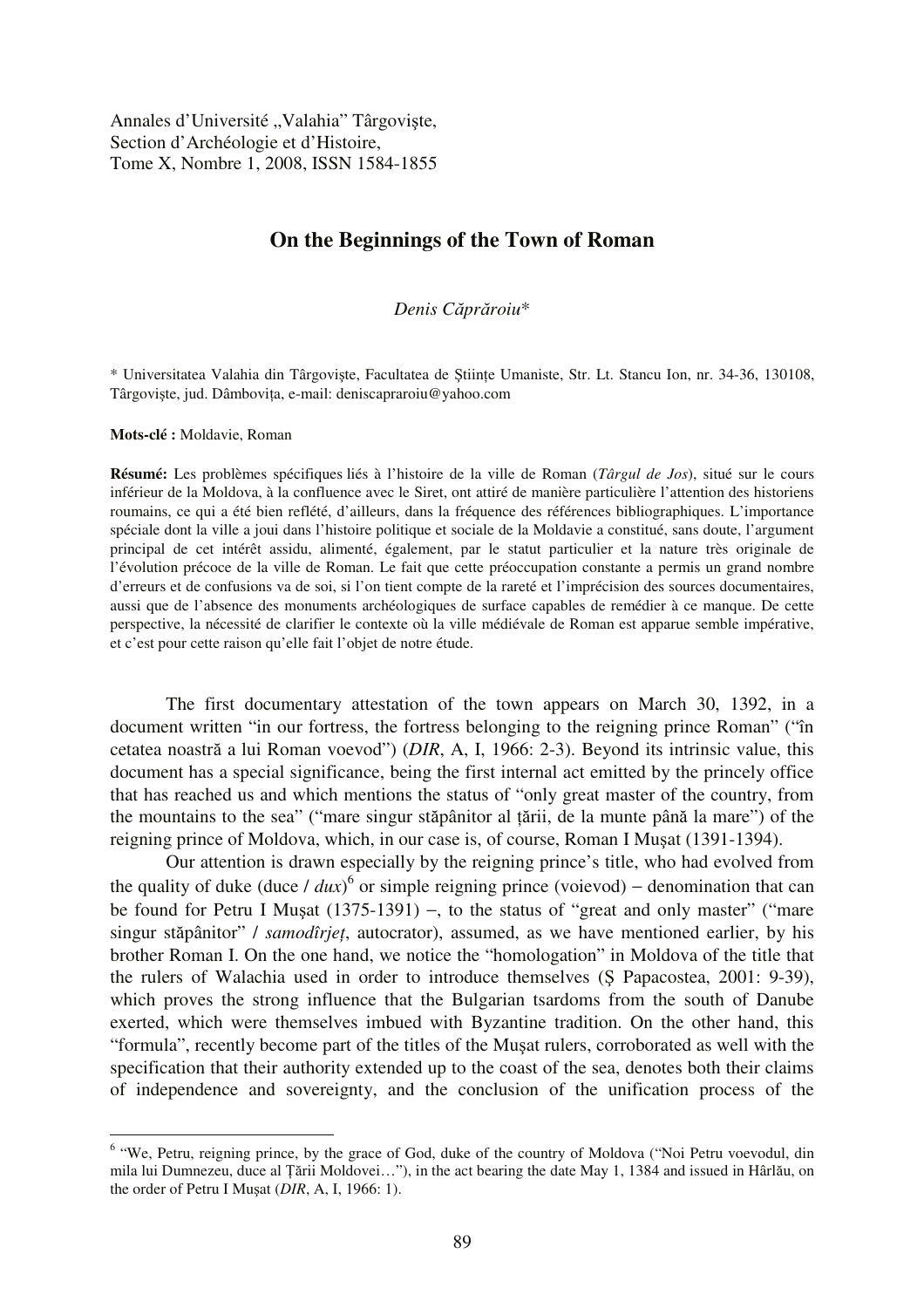Annales d'Université "Valahia" Târgoviște, Section d'Archéologie et d'Histoire, Tome X, Nombre 1, 2008, ISSN 1584-1855

## **On the Beginnings of the Town of Roman**

## *Denis C*-*pr*-*roiu*\*

\* Universitatea Valahia din Târgovite, Facultatea de tiine Umaniste, Str. Lt. Stancu Ion, nr. 34-36, 130108, Târgoviste, jud. Dâmbovita, e-mail: deniscapraroiu@yahoo.com

**Mots-clé :** Moldavie, Roman

**Résumé:** Les problèmes spécifiques liés à l'histoire de la ville de Roman (*Târgul de Jos*), situé sur le cours inférieur de la Moldova, à la confluence avec le Siret, ont attiré de manière particulière l'attention des historiens roumains, ce qui a été bien reflété, d'ailleurs, dans la fréquence des références bibliographiques. L'importance spéciale dont la ville a joui dans l'histoire politique et sociale de la Moldavie a constitué, sans doute, l'argument principal de cet intérêt assidu, alimenté, également, par le statut particulier et la nature très originale de l'évolution précoce de la ville de Roman. Le fait que cette préoccupation constante a permis un grand nombre d'erreurs et de confusions va de soi, si l'on tient compte de la rareté et l'imprécision des sources documentaires, aussi que de l'absence des monuments archéologiques de surface capables de remédier à ce manque. De cette perspective, la nécessité de clarifier le contexte où la ville médiévale de Roman est apparue semble impérative, et c'est pour cette raison qu'elle fait l'objet de notre étude.

The first documentary attestation of the town appears on March 30, 1392, in a document written "in our fortress, the fortress belonging to the reigning prince Roman" ("în cetatea noastră a lui Roman voevod") (*DIR*, A, I, 1966: 2-3). Beyond its intrinsic value, this document has a special significance, being the first internal act emitted by the princely office that has reached us and which mentions the status of "only great master of the country, from the mountains to the sea" ("mare singur stăpânitor al țării, de la munte până la mare") of the reigning prince of Moldova, which, in our case is, of course, Roman I Musat (1391-1394).

Our attention is drawn especially by the reigning prince's title, who had evolved from the quality of duke (duce  $/$  *dux*)<sup>6</sup> or simple reigning prince (voievod) – denomination that can be found for Petru I Musat (1375-1391) –, to the status of "great and only master" ("mare singur stăpânitor" / *samodîrjeț*, autocrator), assumed, as we have mentioned earlier, by his brother Roman I. On the one hand, we notice the "homologation" in Moldova of the title that the rulers of Walachia used in order to introduce themselves (S Papacostea, 2001: 9-39). which proves the strong influence that the Bulgarian tsardoms from the south of Danube exerted, which were themselves imbued with Byzantine tradition. On the other hand, this "formula", recently become part of the titles of the Musat rulers, corroborated as well with the specification that their authority extended up to the coast of the sea, denotes both their claims of independence and sovereignty, and the conclusion of the unification process of the

<sup>&</sup>lt;sup>6</sup> "We, Petru, reigning prince, by the grace of God, duke of the country of Moldova ("Noi Petru voevodul, din mila lui Dumnezeu, duce al Țării Moldovei..."), in the act bearing the date May 1, 1384 and issued in Hârlău, on the order of Petru I Musat (*DIR*, A, I, 1966: 1).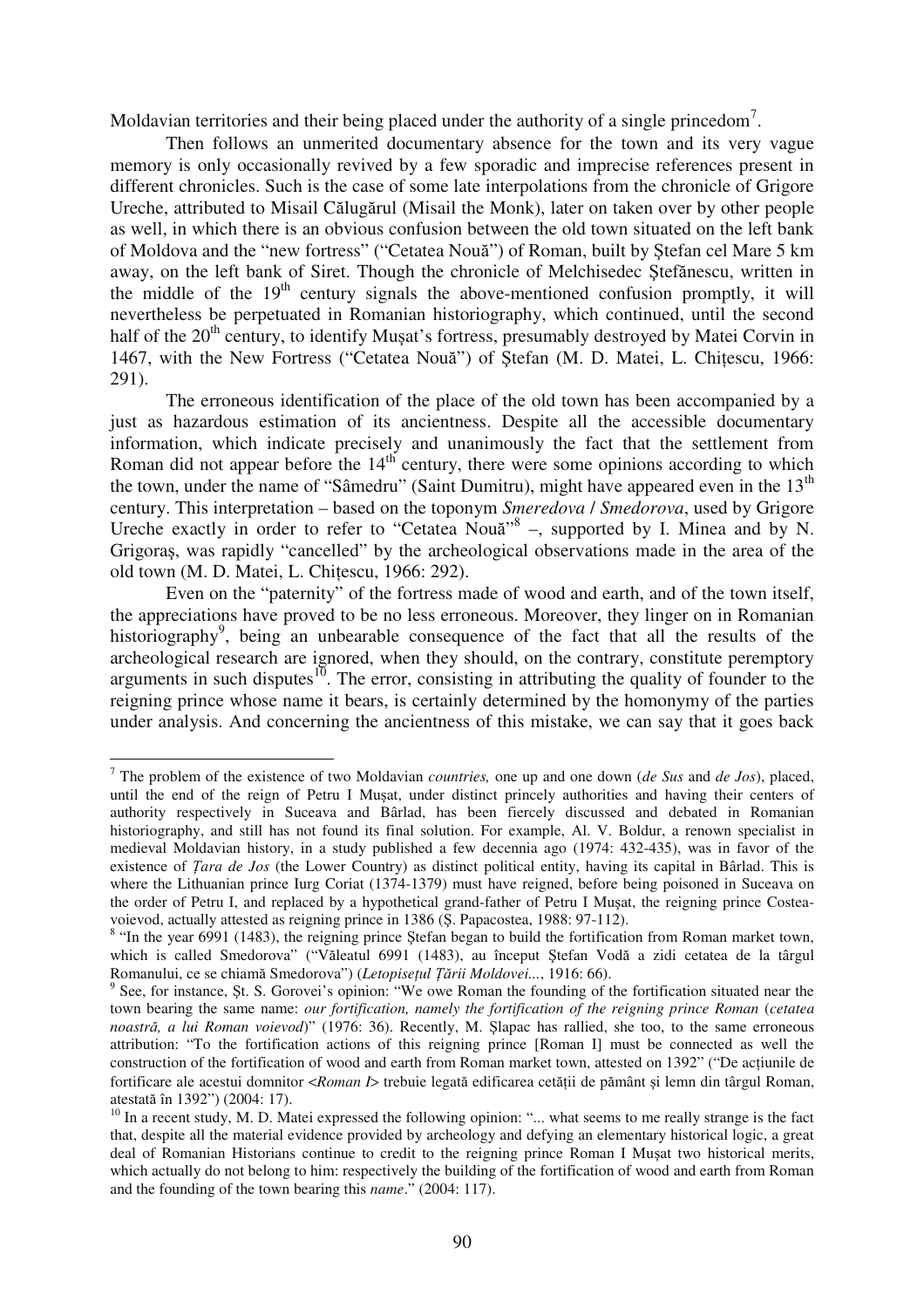Moldavian territories and their being placed under the authority of a single princedom<sup>7</sup>.

Then follows an unmerited documentary absence for the town and its very vague memory is only occasionally revived by a few sporadic and imprecise references present in different chronicles. Such is the case of some late interpolations from the chronicle of Grigore Ureche, attributed to Misail Călugărul (Misail the Monk), later on taken over by other people as well, in which there is an obvious confusion between the old town situated on the left bank of Moldova and the "new fortress" ("Cetatea Nouă") of Roman, built by Ștefan cel Mare 5 km away, on the left bank of Siret. Though the chronicle of Melchisedec Ștefănescu, written in the middle of the  $19<sup>th</sup>$  century signals the above-mentioned confusion promptly, it will nevertheless be perpetuated in Romanian historiography, which continued, until the second half of the 20<sup>th</sup> century, to identify Musat's fortress, presumably destroyed by Matei Corvin in 1467, with the New Fortress ("Cetatea Nouă") of Ștefan (M. D. Matei, L. Chițescu, 1966: 291).

The erroneous identification of the place of the old town has been accompanied by a just as hazardous estimation of its ancientness. Despite all the accessible documentary information, which indicate precisely and unanimously the fact that the settlement from Roman did not appear before the 14<sup>th</sup> century, there were some opinions according to which the town, under the name of "Sâmedru" (Saint Dumitru), might have appeared even in the  $13<sup>th</sup>$ century. This interpretation – based on the toponym *Smeredova* / *Smedorova*, used by Grigore Ureche exactly in order to refer to "Cetatea Nouă"<sup>8</sup> -, supported by I. Minea and by N. Grigora, was rapidly "cancelled" by the archeological observations made in the area of the old town (M. D. Matei, L. Chiescu, 1966: 292).

Even on the "paternity" of the fortress made of wood and earth, and of the town itself, the appreciations have proved to be no less erroneous. Moreover, they linger on in Romanian historiography<sup>9</sup>, being an unbearable consequence of the fact that all the results of the archeological research are ignored, when they should, on the contrary, constitute peremptory arguments in such disputes $10$ . The error, consisting in attributing the quality of founder to the reigning prince whose name it bears, is certainly determined by the homonymy of the parties under analysis. And concerning the ancientness of this mistake, we can say that it goes back

<sup>7</sup> The problem of the existence of two Moldavian *countries,* one up and one down (*de Sus* and *de Jos*), placed, until the end of the reign of Petru I Mușat, under distinct princely authorities and having their centers of authority respectively in Suceava and Bârlad, has been fiercely discussed and debated in Romanian historiography, and still has not found its final solution. For example, Al. V. Boldur, a renown specialist in medieval Moldavian history, in a study published a few decennia ago (1974: 432-435), was in favor of the existence of *Tara de Jos* (the Lower Country) as distinct political entity, having its capital in Bârlad. This is where the Lithuanian prince Iurg Coriat (1374-1379) must have reigned, before being poisoned in Suceava on the order of Petru I, and replaced by a hypothetical grand-father of Petru I Musat, the reigning prince Costeavoievod, actually attested as reigning prince in 1386 (S. Papacostea, 1988: 97-112).

 $8$  "In the year 6991 (1483), the reigning prince Ştefan began to build the fortification from Roman market town, which is called Smedorova" ("Văleatul 6991 (1483), au început Ștefan Vodă a zidi cetatea de la târgul Romanului, ce se chiamă Smedorova") (Letopisețul Țării Moldovei..., 1916: 66).

 $9$  See, for instance, St. S. Gorovei's opinion: "We owe Roman the founding of the fortification situated near the town bearing the same name: *our fortification, namely the fortification of the reigning prince Roman (cetatea noastră, a lui Roman voievod*)" (1976: 36). Recently, M. Șlapac has rallied, she too, to the same erroneous attribution: "To the fortification actions of this reigning prince [Roman I] must be connected as well the construction of the fortification of wood and earth from Roman market town, attested on 1392" ("De aciunile de fortificare ale acestui domnitor <*Roman I>* trebuie legată edificarea cetății de pământ și lemn din târgul Roman, atestată în 1392") (2004: 17).

<sup>&</sup>lt;sup>10</sup> In a recent study, M. D. Matei expressed the following opinion: "... what seems to me really strange is the fact that, despite all the material evidence provided by archeology and defying an elementary historical logic, a great deal of Romanian Historians continue to credit to the reigning prince Roman I Muat two historical merits, which actually do not belong to him: respectively the building of the fortification of wood and earth from Roman and the founding of the town bearing this *name*." (2004: 117).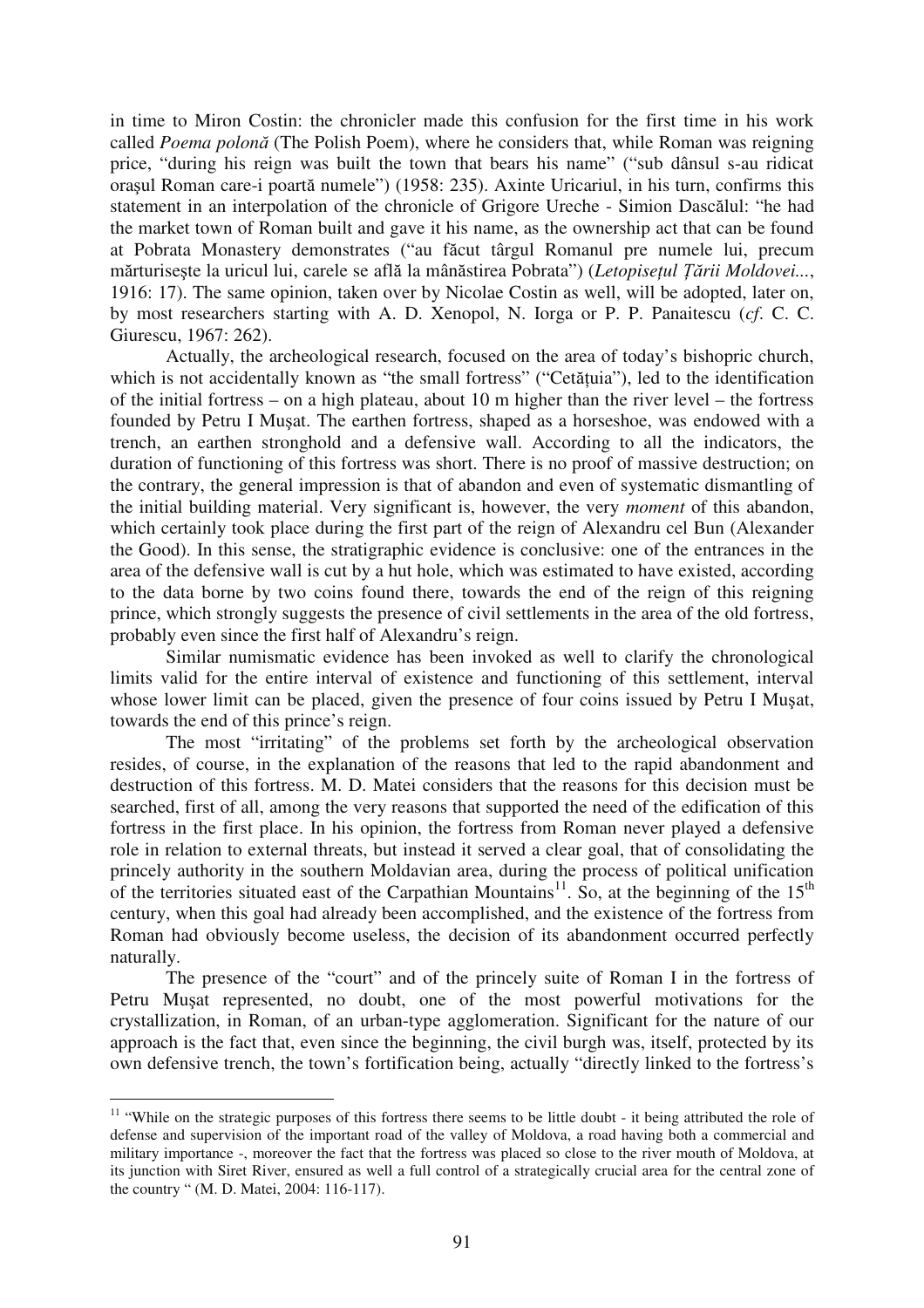in time to Miron Costin: the chronicler made this confusion for the first time in his work called Poema polonă (The Polish Poem), where he considers that, while Roman was reigning price, "during his reign was built the town that bears his name" ("sub dânsul s-au ridicat orașul Roman care-i poartă numele") (1958: 235). Axinte Uricariul, in his turn, confirms this statement in an interpolation of the chronicle of Grigore Ureche - Simion Dascălul: "he had the market town of Roman built and gave it his name, as the ownership act that can be found at Pobrata Monastery demonstrates ("au făcut târgul Romanul pre numele lui, precum mărturisește la uricul lui, carele se află la mânăstirea Pobrata") (Letopisețul Țării Moldovei..., 1916: 17). The same opinion, taken over by Nicolae Costin as well, will be adopted, later on, by most researchers starting with A. D. Xenopol, N. Iorga or P. P. Panaitescu (*cf*. C. C. Giurescu, 1967: 262).

Actually, the archeological research, focused on the area of today's bishopric church, which is not accidentally known as "the small fortress" ("Cetățuia"), led to the identification of the initial fortress – on a high plateau, about 10 m higher than the river level – the fortress founded by Petru I Musat. The earthen fortress, shaped as a horseshoe, was endowed with a trench, an earthen stronghold and a defensive wall. According to all the indicators, the duration of functioning of this fortress was short. There is no proof of massive destruction; on the contrary, the general impression is that of abandon and even of systematic dismantling of the initial building material. Very significant is, however, the very *moment* of this abandon, which certainly took place during the first part of the reign of Alexandru cel Bun (Alexander the Good). In this sense, the stratigraphic evidence is conclusive: one of the entrances in the area of the defensive wall is cut by a hut hole, which was estimated to have existed, according to the data borne by two coins found there, towards the end of the reign of this reigning prince, which strongly suggests the presence of civil settlements in the area of the old fortress, probably even since the first half of Alexandru's reign.

Similar numismatic evidence has been invoked as well to clarify the chronological limits valid for the entire interval of existence and functioning of this settlement, interval whose lower limit can be placed, given the presence of four coins issued by Petru I Musat, towards the end of this prince's reign.

The most "irritating" of the problems set forth by the archeological observation resides, of course, in the explanation of the reasons that led to the rapid abandonment and destruction of this fortress. M. D. Matei considers that the reasons for this decision must be searched, first of all, among the very reasons that supported the need of the edification of this fortress in the first place. In his opinion, the fortress from Roman never played a defensive role in relation to external threats, but instead it served a clear goal, that of consolidating the princely authority in the southern Moldavian area, during the process of political unification of the territories situated east of the Carpathian Mountains<sup>11</sup>. So, at the beginning of the 15<sup>th</sup> century, when this goal had already been accomplished, and the existence of the fortress from Roman had obviously become useless, the decision of its abandonment occurred perfectly naturally.

The presence of the "court" and of the princely suite of Roman I in the fortress of Petru Musat represented, no doubt, one of the most powerful motivations for the crystallization, in Roman, of an urban-type agglomeration. Significant for the nature of our approach is the fact that, even since the beginning, the civil burgh was, itself, protected by its own defensive trench, the town's fortification being, actually "directly linked to the fortress's

<sup>&</sup>lt;sup>11</sup> "While on the strategic purposes of this fortress there seems to be little doubt - it being attributed the role of defense and supervision of the important road of the valley of Moldova, a road having both a commercial and military importance -, moreover the fact that the fortress was placed so close to the river mouth of Moldova, at its junction with Siret River, ensured as well a full control of a strategically crucial area for the central zone of the country " (M. D. Matei, 2004: 116-117).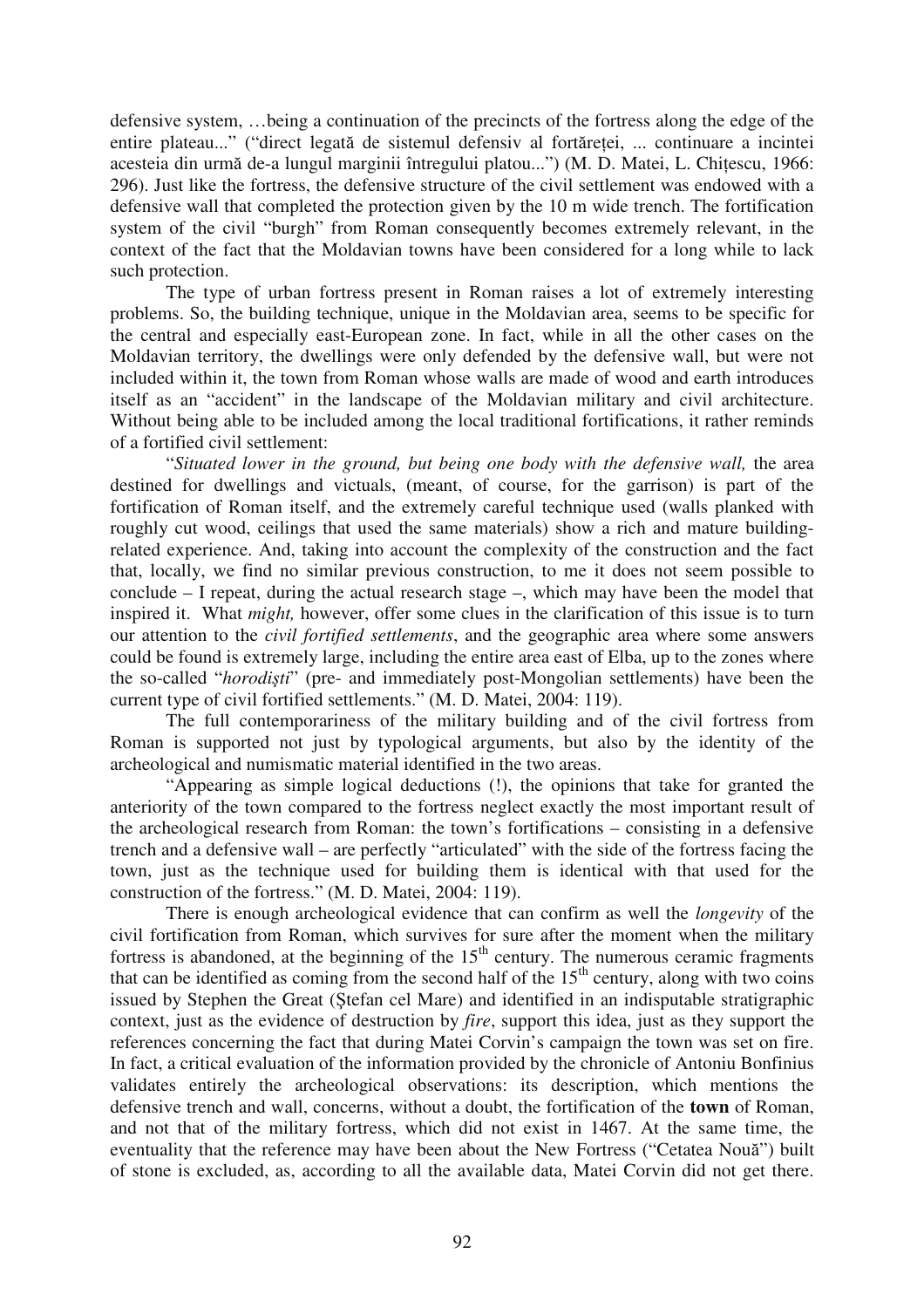defensive system, …being a continuation of the precincts of the fortress along the edge of the entire plateau..." ("direct legată de sistemul defensiv al fortăreței, ... continuare a incintei acesteia din urmă de-a lungul marginii întregului platou...") (M. D. Matei, L. Chițescu, 1966: 296). Just like the fortress, the defensive structure of the civil settlement was endowed with a defensive wall that completed the protection given by the 10 m wide trench. The fortification system of the civil "burgh" from Roman consequently becomes extremely relevant, in the context of the fact that the Moldavian towns have been considered for a long while to lack such protection.

The type of urban fortress present in Roman raises a lot of extremely interesting problems. So, the building technique, unique in the Moldavian area, seems to be specific for the central and especially east-European zone. In fact, while in all the other cases on the Moldavian territory, the dwellings were only defended by the defensive wall, but were not included within it, the town from Roman whose walls are made of wood and earth introduces itself as an "accident" in the landscape of the Moldavian military and civil architecture. Without being able to be included among the local traditional fortifications, it rather reminds of a fortified civil settlement:

"*Situated lower in the ground, but being one body with the defensive wall,* the area destined for dwellings and victuals, (meant, of course, for the garrison) is part of the fortification of Roman itself, and the extremely careful technique used (walls planked with roughly cut wood, ceilings that used the same materials) show a rich and mature buildingrelated experience. And, taking into account the complexity of the construction and the fact that, locally, we find no similar previous construction, to me it does not seem possible to conclude – I repeat, during the actual research stage –, which may have been the model that inspired it. What *might,* however, offer some clues in the clarification of this issue is to turn our attention to the *civil fortified settlements*, and the geographic area where some answers could be found is extremely large, including the entire area east of Elba, up to the zones where the so-called "*horoditi*" (pre- and immediately post-Mongolian settlements) have been the current type of civil fortified settlements." (M. D. Matei, 2004: 119).

The full contemporariness of the military building and of the civil fortress from Roman is supported not just by typological arguments, but also by the identity of the archeological and numismatic material identified in the two areas.

"Appearing as simple logical deductions (!), the opinions that take for granted the anteriority of the town compared to the fortress neglect exactly the most important result of the archeological research from Roman: the town's fortifications – consisting in a defensive trench and a defensive wall – are perfectly "articulated" with the side of the fortress facing the town, just as the technique used for building them is identical with that used for the construction of the fortress." (M. D. Matei, 2004: 119).

There is enough archeological evidence that can confirm as well the *longevity* of the civil fortification from Roman, which survives for sure after the moment when the military fortress is abandoned, at the beginning of the  $15<sup>th</sup>$  century. The numerous ceramic fragments that can be identified as coming from the second half of the  $15<sup>th</sup>$  century, along with two coins issued by Stephen the Great (Stefan cel Mare) and identified in an indisputable stratigraphic context, just as the evidence of destruction by *fire*, support this idea, just as they support the references concerning the fact that during Matei Corvin's campaign the town was set on fire. In fact, a critical evaluation of the information provided by the chronicle of Antoniu Bonfinius validates entirely the archeological observations: its description, which mentions the defensive trench and wall, concerns, without a doubt, the fortification of the **town** of Roman, and not that of the military fortress, which did not exist in 1467. At the same time, the eventuality that the reference may have been about the New Fortress ("Cetatea Nouă") built of stone is excluded, as, according to all the available data, Matei Corvin did not get there.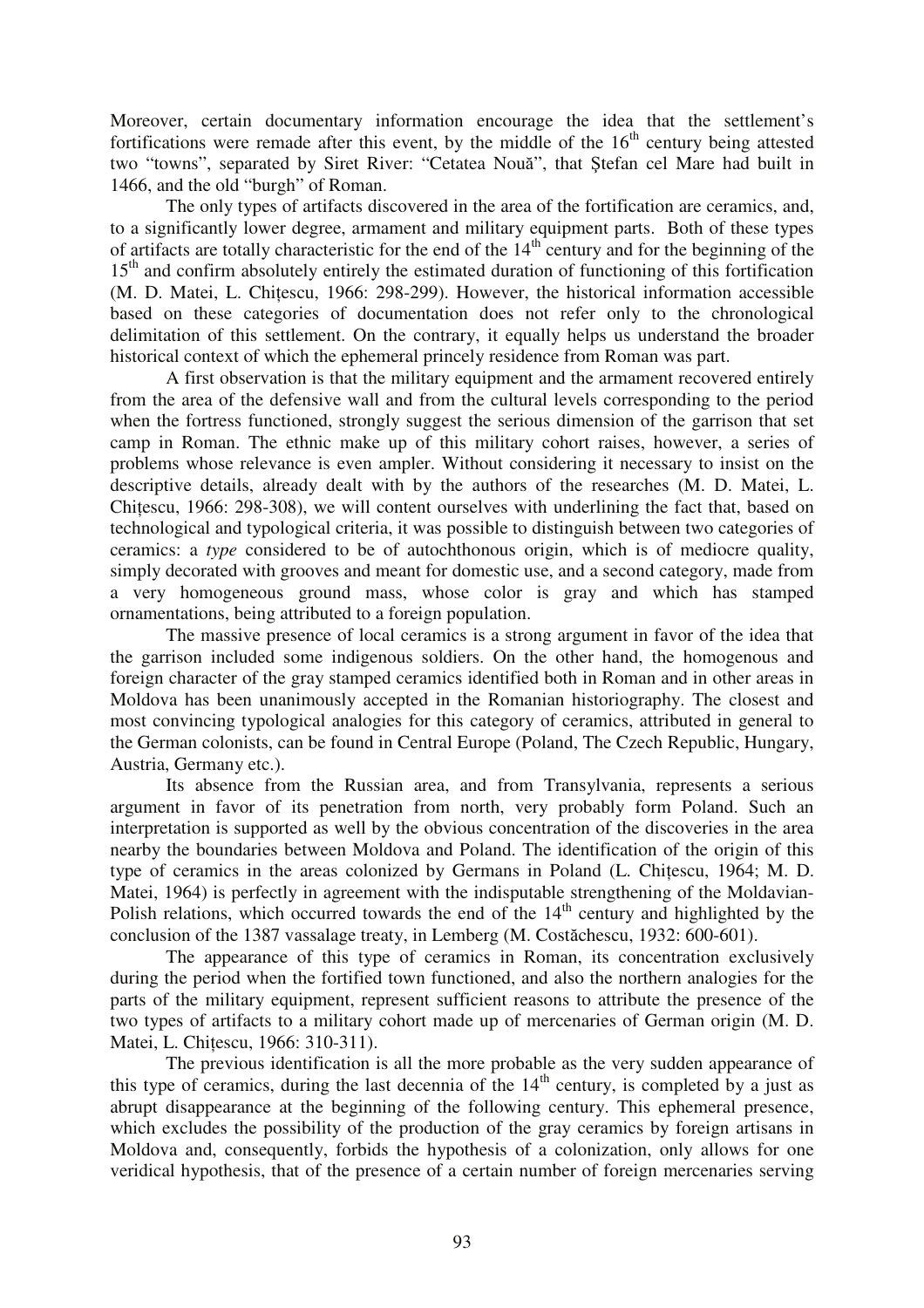Moreover, certain documentary information encourage the idea that the settlement's fortifications were remade after this event, by the middle of the  $16<sup>th</sup>$  century being attested two "towns", separated by Siret River: "Cetatea Nouă", that Ștefan cel Mare had built in 1466, and the old "burgh" of Roman.

The only types of artifacts discovered in the area of the fortification are ceramics, and, to a significantly lower degree, armament and military equipment parts. Both of these types of artifacts are totally characteristic for the end of the  $14<sup>th</sup>$  century and for the beginning of the 15<sup>th</sup> and confirm absolutely entirely the estimated duration of functioning of this fortification (M. D. Matei, L. Chiescu, 1966: 298-299). However, the historical information accessible based on these categories of documentation does not refer only to the chronological delimitation of this settlement. On the contrary, it equally helps us understand the broader historical context of which the ephemeral princely residence from Roman was part.

A first observation is that the military equipment and the armament recovered entirely from the area of the defensive wall and from the cultural levels corresponding to the period when the fortress functioned, strongly suggest the serious dimension of the garrison that set camp in Roman. The ethnic make up of this military cohort raises, however, a series of problems whose relevance is even ampler. Without considering it necessary to insist on the descriptive details, already dealt with by the authors of the researches (M. D. Matei, L. Chiescu, 1966: 298-308), we will content ourselves with underlining the fact that, based on technological and typological criteria, it was possible to distinguish between two categories of ceramics: a *type* considered to be of autochthonous origin, which is of mediocre quality, simply decorated with grooves and meant for domestic use, and a second category, made from a very homogeneous ground mass, whose color is gray and which has stamped ornamentations, being attributed to a foreign population.

The massive presence of local ceramics is a strong argument in favor of the idea that the garrison included some indigenous soldiers. On the other hand, the homogenous and foreign character of the gray stamped ceramics identified both in Roman and in other areas in Moldova has been unanimously accepted in the Romanian historiography. The closest and most convincing typological analogies for this category of ceramics, attributed in general to the German colonists, can be found in Central Europe (Poland, The Czech Republic, Hungary, Austria, Germany etc.).

Its absence from the Russian area, and from Transylvania, represents a serious argument in favor of its penetration from north, very probably form Poland. Such an interpretation is supported as well by the obvious concentration of the discoveries in the area nearby the boundaries between Moldova and Poland. The identification of the origin of this type of ceramics in the areas colonized by Germans in Poland (L. Chiescu, 1964; M. D. Matei, 1964) is perfectly in agreement with the indisputable strengthening of the Moldavian-Polish relations, which occurred towards the end of the  $14<sup>th</sup>$  century and highlighted by the conclusion of the 1387 vassalage treaty, in Lemberg (M. Costăchescu, 1932: 600-601).

The appearance of this type of ceramics in Roman, its concentration exclusively during the period when the fortified town functioned, and also the northern analogies for the parts of the military equipment, represent sufficient reasons to attribute the presence of the two types of artifacts to a military cohort made up of mercenaries of German origin (M. D. Matei, L. Chiescu, 1966: 310-311).

The previous identification is all the more probable as the very sudden appearance of this type of ceramics, during the last decennia of the  $14<sup>th</sup>$  century, is completed by a just as abrupt disappearance at the beginning of the following century. This ephemeral presence, which excludes the possibility of the production of the gray ceramics by foreign artisans in Moldova and, consequently, forbids the hypothesis of a colonization, only allows for one veridical hypothesis, that of the presence of a certain number of foreign mercenaries serving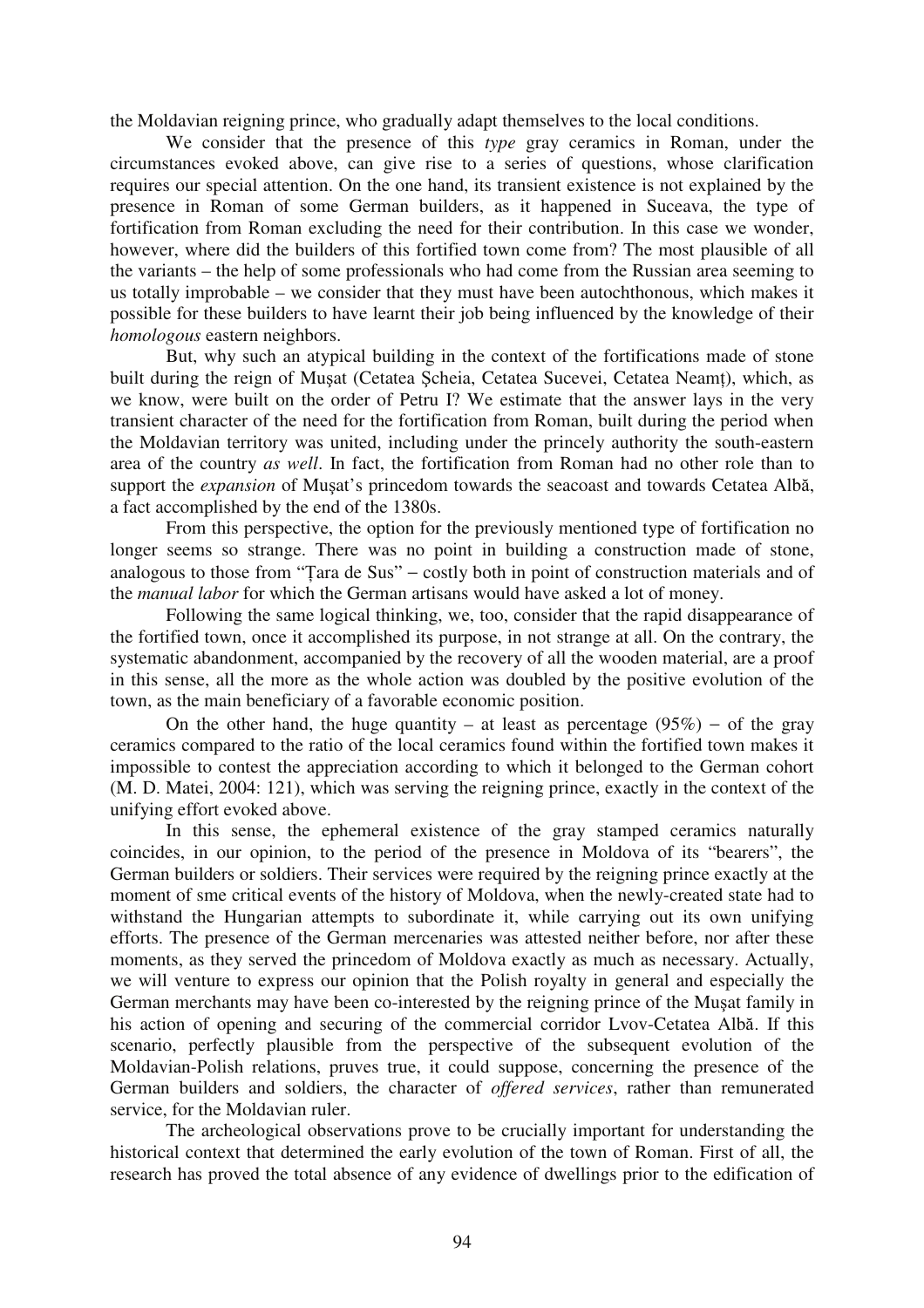the Moldavian reigning prince, who gradually adapt themselves to the local conditions.

We consider that the presence of this *type* gray ceramics in Roman, under the circumstances evoked above, can give rise to a series of questions, whose clarification requires our special attention. On the one hand, its transient existence is not explained by the presence in Roman of some German builders, as it happened in Suceava, the type of fortification from Roman excluding the need for their contribution. In this case we wonder, however, where did the builders of this fortified town come from? The most plausible of all the variants – the help of some professionals who had come from the Russian area seeming to us totally improbable – we consider that they must have been autochthonous, which makes it possible for these builders to have learnt their job being influenced by the knowledge of their *homologous* eastern neighbors.

But, why such an atypical building in the context of the fortifications made of stone built during the reign of Musat (Cetatea Scheia, Cetatea Sucevei, Cetatea Neamt), which, as we know, were built on the order of Petru I? We estimate that the answer lays in the very transient character of the need for the fortification from Roman, built during the period when the Moldavian territory was united, including under the princely authority the south-eastern area of the country *as well*. In fact, the fortification from Roman had no other role than to support the *expansion* of Mușat's princedom towards the seacoast and towards Cetatea Albă, a fact accomplished by the end of the 1380s.

From this perspective, the option for the previously mentioned type of fortification no longer seems so strange. There was no point in building a construction made of stone, analogous to those from "Tara de Sus" – costly both in point of construction materials and of the *manual labor* for which the German artisans would have asked a lot of money.

Following the same logical thinking, we, too, consider that the rapid disappearance of the fortified town, once it accomplished its purpose, in not strange at all. On the contrary, the systematic abandonment, accompanied by the recovery of all the wooden material, are a proof in this sense, all the more as the whole action was doubled by the positive evolution of the town, as the main beneficiary of a favorable economic position.

On the other hand, the huge quantity – at least as percentage  $(95%)$  – of the gray ceramics compared to the ratio of the local ceramics found within the fortified town makes it impossible to contest the appreciation according to which it belonged to the German cohort (M. D. Matei, 2004: 121), which was serving the reigning prince, exactly in the context of the unifying effort evoked above.

In this sense, the ephemeral existence of the gray stamped ceramics naturally coincides, in our opinion, to the period of the presence in Moldova of its "bearers", the German builders or soldiers. Their services were required by the reigning prince exactly at the moment of sme critical events of the history of Moldova, when the newly-created state had to withstand the Hungarian attempts to subordinate it, while carrying out its own unifying efforts. The presence of the German mercenaries was attested neither before, nor after these moments, as they served the princedom of Moldova exactly as much as necessary. Actually, we will venture to express our opinion that the Polish royalty in general and especially the German merchants may have been co-interested by the reigning prince of the Musat family in his action of opening and securing of the commercial corridor Lvov-Cetatea Albă. If this scenario, perfectly plausible from the perspective of the subsequent evolution of the Moldavian-Polish relations, pruves true, it could suppose, concerning the presence of the German builders and soldiers, the character of *offered services*, rather than remunerated service, for the Moldavian ruler.

The archeological observations prove to be crucially important for understanding the historical context that determined the early evolution of the town of Roman. First of all, the research has proved the total absence of any evidence of dwellings prior to the edification of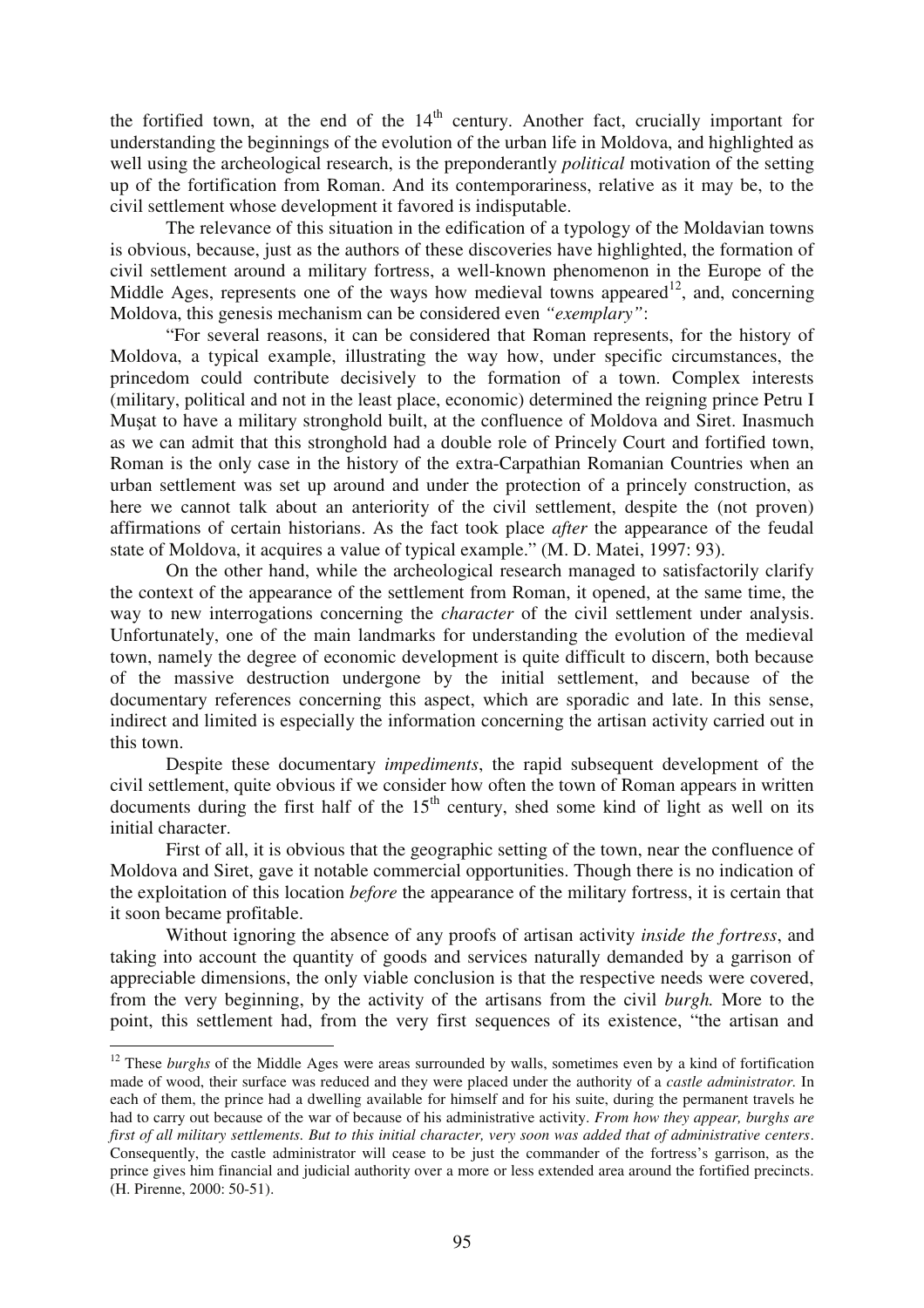the fortified town, at the end of the  $14<sup>th</sup>$  century. Another fact, crucially important for understanding the beginnings of the evolution of the urban life in Moldova, and highlighted as well using the archeological research, is the preponderantly *political* motivation of the setting up of the fortification from Roman. And its contemporariness, relative as it may be, to the civil settlement whose development it favored is indisputable.

The relevance of this situation in the edification of a typology of the Moldavian towns is obvious, because, just as the authors of these discoveries have highlighted, the formation of civil settlement around a military fortress, a well-known phenomenon in the Europe of the Middle Ages, represents one of the ways how medieval towns appeared<sup>12</sup>, and, concerning Moldova, this genesis mechanism can be considered even *"exemplary"*:

"For several reasons, it can be considered that Roman represents, for the history of Moldova, a typical example, illustrating the way how, under specific circumstances, the princedom could contribute decisively to the formation of a town. Complex interests (military, political and not in the least place, economic) determined the reigning prince Petru I Musat to have a military stronghold built, at the confluence of Moldova and Siret. Inasmuch as we can admit that this stronghold had a double role of Princely Court and fortified town, Roman is the only case in the history of the extra-Carpathian Romanian Countries when an urban settlement was set up around and under the protection of a princely construction, as here we cannot talk about an anteriority of the civil settlement, despite the (not proven) affirmations of certain historians. As the fact took place *after* the appearance of the feudal state of Moldova, it acquires a value of typical example." (M. D. Matei, 1997: 93).

On the other hand, while the archeological research managed to satisfactorily clarify the context of the appearance of the settlement from Roman, it opened, at the same time, the way to new interrogations concerning the *character* of the civil settlement under analysis. Unfortunately, one of the main landmarks for understanding the evolution of the medieval town, namely the degree of economic development is quite difficult to discern, both because of the massive destruction undergone by the initial settlement, and because of the documentary references concerning this aspect, which are sporadic and late. In this sense, indirect and limited is especially the information concerning the artisan activity carried out in this town.

Despite these documentary *impediments*, the rapid subsequent development of the civil settlement, quite obvious if we consider how often the town of Roman appears in written documents during the first half of the  $15<sup>th</sup>$  century, shed some kind of light as well on its initial character.

First of all, it is obvious that the geographic setting of the town, near the confluence of Moldova and Siret, gave it notable commercial opportunities. Though there is no indication of the exploitation of this location *before* the appearance of the military fortress, it is certain that it soon became profitable.

Without ignoring the absence of any proofs of artisan activity *inside the fortress*, and taking into account the quantity of goods and services naturally demanded by a garrison of appreciable dimensions, the only viable conclusion is that the respective needs were covered, from the very beginning, by the activity of the artisans from the civil *burgh.* More to the point, this settlement had, from the very first sequences of its existence, "the artisan and

<sup>&</sup>lt;sup>12</sup> These *burghs* of the Middle Ages were areas surrounded by walls, sometimes even by a kind of fortification made of wood, their surface was reduced and they were placed under the authority of a *castle administrator.* In each of them, the prince had a dwelling available for himself and for his suite, during the permanent travels he had to carry out because of the war of because of his administrative activity. *From how they appear, burghs are first of all military settlements. But to this initial character, very soon was added that of administrative centers*. Consequently, the castle administrator will cease to be just the commander of the fortress's garrison, as the prince gives him financial and judicial authority over a more or less extended area around the fortified precincts. (H. Pirenne, 2000: 50-51).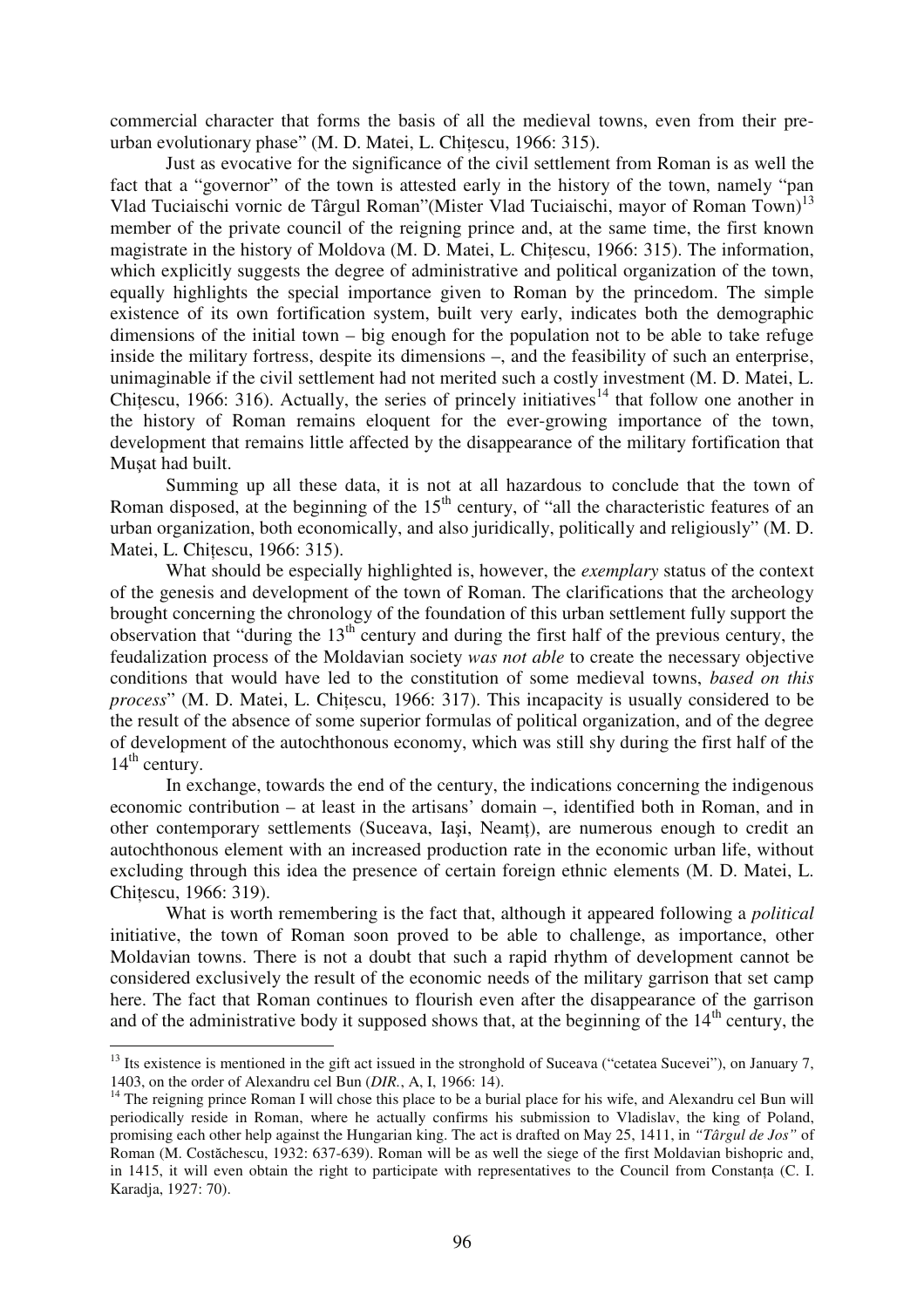commercial character that forms the basis of all the medieval towns, even from their preurban evolutionary phase" (M. D. Matei, L. Chiescu, 1966: 315).

Just as evocative for the significance of the civil settlement from Roman is as well the fact that a "governor" of the town is attested early in the history of the town, namely "pan Vlad Tuciaischi vornic de Târgul Roman" (Mister Vlad Tuciaischi, mayor of Roman Town)<sup>13</sup> member of the private council of the reigning prince and, at the same time, the first known magistrate in the history of Moldova (M. D. Matei, L. Chiescu, 1966: 315). The information, which explicitly suggests the degree of administrative and political organization of the town, equally highlights the special importance given to Roman by the princedom. The simple existence of its own fortification system, built very early, indicates both the demographic dimensions of the initial town – big enough for the population not to be able to take refuge inside the military fortress, despite its dimensions –, and the feasibility of such an enterprise, unimaginable if the civil settlement had not merited such a costly investment (M. D. Matei, L. Chitescu, 1966: 316). Actually, the series of princely initiatives<sup>14</sup> that follow one another in the history of Roman remains eloquent for the ever-growing importance of the town, development that remains little affected by the disappearance of the military fortification that Musat had built.

Summing up all these data, it is not at all hazardous to conclude that the town of Roman disposed, at the beginning of the  $15<sup>th</sup>$  century, of "all the characteristic features of an urban organization, both economically, and also juridically, politically and religiously" (M. D. Matei, L. Chiescu, 1966: 315).

What should be especially highlighted is, however, the *exemplary* status of the context of the genesis and development of the town of Roman. The clarifications that the archeology brought concerning the chronology of the foundation of this urban settlement fully support the observation that "during the 13th century and during the first half of the previous century, the feudalization process of the Moldavian society *was not able* to create the necessary objective conditions that would have led to the constitution of some medieval towns, *based on this process*" (M. D. Matei, L. Chitescu, 1966: 317). This incapacity is usually considered to be the result of the absence of some superior formulas of political organization, and of the degree of development of the autochthonous economy, which was still shy during the first half of the  $14<sup>th</sup>$  century.

In exchange, towards the end of the century, the indications concerning the indigenous economic contribution – at least in the artisans' domain –, identified both in Roman, and in other contemporary settlements (Suceava, Iasi, Neamt), are numerous enough to credit an autochthonous element with an increased production rate in the economic urban life, without excluding through this idea the presence of certain foreign ethnic elements (M. D. Matei, L. Chiescu, 1966: 319).

What is worth remembering is the fact that, although it appeared following a *political*  initiative, the town of Roman soon proved to be able to challenge, as importance, other Moldavian towns. There is not a doubt that such a rapid rhythm of development cannot be considered exclusively the result of the economic needs of the military garrison that set camp here. The fact that Roman continues to flourish even after the disappearance of the garrison and of the administrative body it supposed shows that, at the beginning of the  $14<sup>th</sup>$  century, the

 $13$  Its existence is mentioned in the gift act issued in the stronghold of Suceava ("cetatea Sucevei"), on January 7, 1403, on the order of Alexandru cel Bun (*DIR.*, A, I, 1966: 14).

<sup>&</sup>lt;sup>14</sup> The reigning prince Roman I will chose this place to be a burial place for his wife, and Alexandru cel Bun will periodically reside in Roman, where he actually confirms his submission to Vladislav, the king of Poland, promising each other help against the Hungarian king. The act is drafted on May 25, 1411, in *"Târgul de Jos"* of Roman (M. Costăchescu, 1932: 637-639). Roman will be as well the siege of the first Moldavian bishopric and, in 1415, it will even obtain the right to participate with representatives to the Council from Constana (C. I. Karadja, 1927: 70).